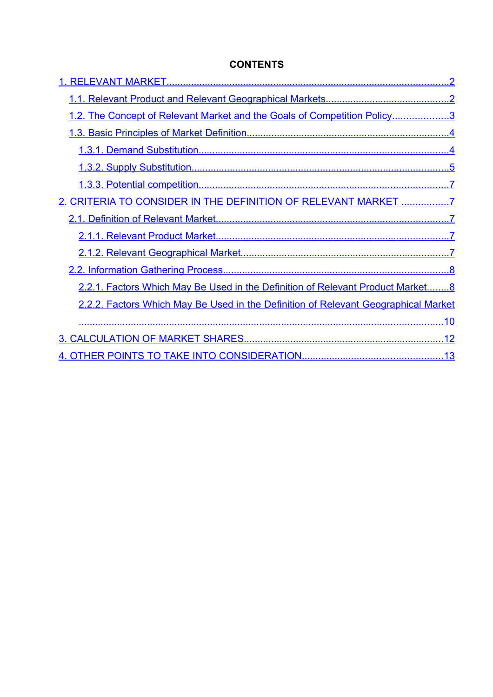# <span id="page-0-13"></span><span id="page-0-12"></span><span id="page-0-11"></span><span id="page-0-10"></span><span id="page-0-9"></span><span id="page-0-8"></span><span id="page-0-7"></span><span id="page-0-6"></span><span id="page-0-5"></span><span id="page-0-4"></span><span id="page-0-3"></span><span id="page-0-2"></span><span id="page-0-1"></span><span id="page-0-0"></span>**CONTENTS**

| 1.2. The Concept of Relevant Market and the Goals of Competition Policy3           |  |
|------------------------------------------------------------------------------------|--|
|                                                                                    |  |
|                                                                                    |  |
|                                                                                    |  |
|                                                                                    |  |
| 2. CRITERIA TO CONSIDER IN THE DEFINITION OF RELEVANT MARKET 7                     |  |
|                                                                                    |  |
|                                                                                    |  |
|                                                                                    |  |
|                                                                                    |  |
| 2.2.1. Factors Which May Be Used in the Definition of Relevant Product Market 8    |  |
| 2.2.2. Factors Which May Be Used in the Definition of Relevant Geographical Market |  |
|                                                                                    |  |
|                                                                                    |  |
|                                                                                    |  |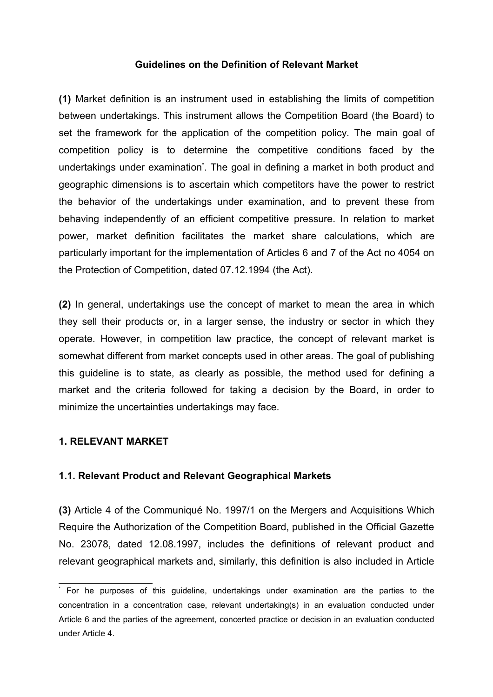#### **Guidelines on the Definition of Relevant Market**

**(1)** Market definition is an instrument used in establishing the limits of competition between undertakings. This instrument allows the Competition Board (the Board) to set the framework for the application of the competition policy. The main goal of competition policy is to determine the competitive conditions faced by the undertakings under examination<sup>[\\*](#page-1-1)</sup>. The goal in defining a market in both product and geographic dimensions is to ascertain which competitors have the power to restrict the behavior of the undertakings under examination, and to prevent these from behaving independently of an efficient competitive pressure. In relation to market power, market definition facilitates the market share calculations, which are particularly important for the implementation of Articles 6 and 7 of the Act no 4054 on the Protection of Competition, dated 07.12.1994 (the Act).

**(2)** In general, undertakings use the concept of market to mean the area in which they sell their products or, in a larger sense, the industry or sector in which they operate. However, in competition law practice, the concept of relevant market is somewhat different from market concepts used in other areas. The goal of publishing this guideline is to state, as clearly as possible, the method used for defining a market and the criteria followed for taking a decision by the Board, in order to minimize the uncertainties undertakings may face.

#### **1. RELEVANT MARKET**

#### <span id="page-1-0"></span>**1.1. Relevant Product and Relevant Geographical Markets**

**(3)** Article 4 of the Communiqué No. 1997/1 on the Mergers and Acquisitions Which Require the Authorization of the Competition Board, published in the Official Gazette No. 23078, dated 12.08.1997, includes the definitions of relevant product and relevant geographical markets and, similarly, this definition is also included in Article

<span id="page-1-1"></span><sup>\*</sup> For he purposes of this guideline, undertakings under examination are the parties to the concentration in a concentration case, relevant undertaking(s) in an evaluation conducted under Article 6 and the parties of the agreement, concerted practice or decision in an evaluation conducted under Article 4.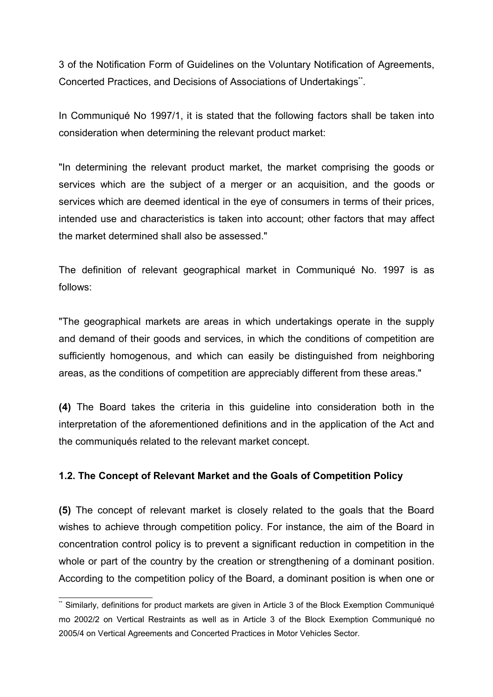3 of the Notification Form of Guidelines on the Voluntary Notification of Agreements, Concerted Practices, and Decisions of Associations of Undertakings[\\*\\*](#page-2-0).

In Communiqué No 1997/1, it is stated that the following factors shall be taken into consideration when determining the relevant product market:

"In determining the relevant product market, the market comprising the goods or services which are the subject of a merger or an acquisition, and the goods or services which are deemed identical in the eye of consumers in terms of their prices, intended use and characteristics is taken into account; other factors that may affect the market determined shall also be assessed."

The definition of relevant geographical market in Communiqué No. 1997 is as follows:

"The geographical markets are areas in which undertakings operate in the supply and demand of their goods and services, in which the conditions of competition are sufficiently homogenous, and which can easily be distinguished from neighboring areas, as the conditions of competition are appreciably different from these areas."

**(4)** The Board takes the criteria in this guideline into consideration both in the interpretation of the aforementioned definitions and in the application of the Act and the communiqués related to the relevant market concept.

### **1.2. The Concept of Relevant Market and the Goals of Competition Policy**

**(5)** The concept of relevant market is closely related to the goals that the Board wishes to achieve through competition policy. For instance, the aim of the Board in concentration control policy is to prevent a significant reduction in competition in the whole or part of the country by the creation or strengthening of a dominant position. According to the competition policy of the Board, a dominant position is when one or

<span id="page-2-0"></span><sup>\*\*</sup> Similarly, definitions for product markets are given in Article 3 of the Block Exemption Communiqué mo 2002/2 on Vertical Restraints as well as in Article 3 of the Block Exemption Communiqué no 2005/4 on Vertical Agreements and Concerted Practices in Motor Vehicles Sector.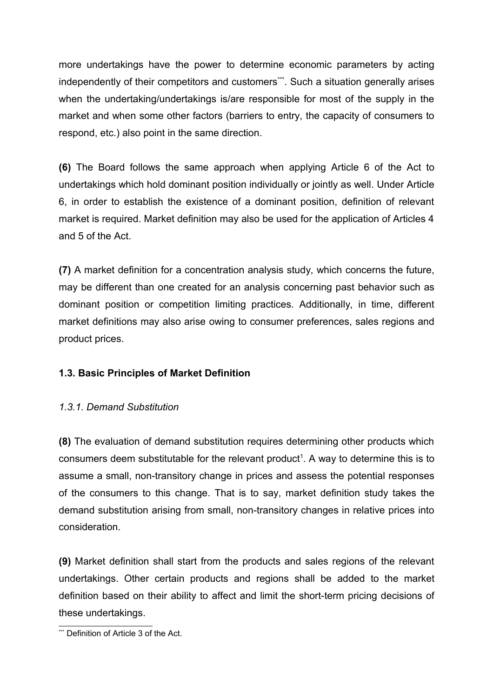more undertakings have the power to determine economic parameters by acting independently of their competitors and customers[\\*\\*](#page-3-0)\*. Such a situation generally arises when the undertaking/undertakings is/are responsible for most of the supply in the market and when some other factors (barriers to entry, the capacity of consumers to respond, etc.) also point in the same direction.

**(6)** The Board follows the same approach when applying Article 6 of the Act to undertakings which hold dominant position individually or jointly as well. Under Article 6, in order to establish the existence of a dominant position, definition of relevant market is required. Market definition may also be used for the application of Articles 4 and 5 of the Act.

**(7)** A market definition for a concentration analysis study, which concerns the future, may be different than one created for an analysis concerning past behavior such as dominant position or competition limiting practices. Additionally, in time, different market definitions may also arise owing to consumer preferences, sales regions and product prices.

## **1.3. Basic Principles of Market Definition**

## *1.3.1. Demand Substitution*

**(8)** The evaluation of demand substitution requires determining other products which consumers deem substitutable for the relevant product<sup>[1](#page-15-0)</sup>. A way to determine this is to assume a small, non-transitory change in prices and assess the potential responses of the consumers to this change. That is to say, market definition study takes the demand substitution arising from small, non-transitory changes in relative prices into consideration.

**(9)** Market definition shall start from the products and sales regions of the relevant undertakings. Other certain products and regions shall be added to the market definition based on their ability to affect and limit the short-term pricing decisions of these undertakings.

<span id="page-3-0"></span><sup>\*\*\*</sup> Definition of Article 3 of the Act.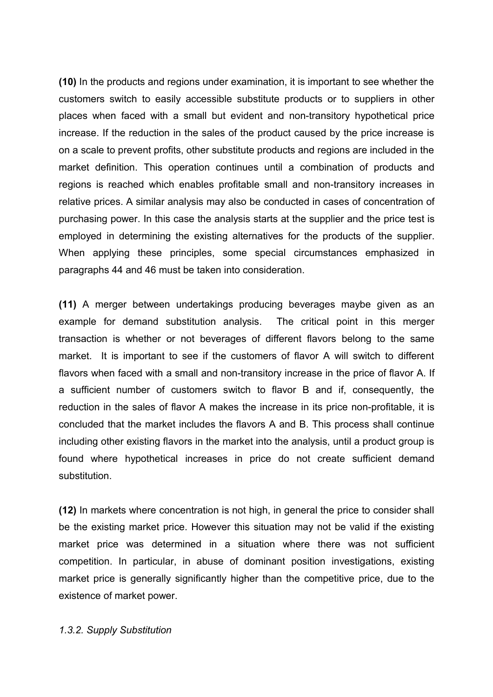**(10)** In the products and regions under examination, it is important to see whether the customers switch to easily accessible substitute products or to suppliers in other places when faced with a small but evident and non-transitory hypothetical price increase. If the reduction in the sales of the product caused by the price increase is on a scale to prevent profits, other substitute products and regions are included in the market definition. This operation continues until a combination of products and regions is reached which enables profitable small and non-transitory increases in relative prices. A similar analysis may also be conducted in cases of concentration of purchasing power. In this case the analysis starts at the supplier and the price test is employed in determining the existing alternatives for the products of the supplier. When applying these principles, some special circumstances emphasized in paragraphs 44 and 46 must be taken into consideration.

**(11)** A merger between undertakings producing beverages maybe given as an example for demand substitution analysis. The critical point in this merger transaction is whether or not beverages of different flavors belong to the same market. It is important to see if the customers of flavor A will switch to different flavors when faced with a small and non-transitory increase in the price of flavor A. If a sufficient number of customers switch to flavor B and if, consequently, the reduction in the sales of flavor A makes the increase in its price non-profitable, it is concluded that the market includes the flavors A and B. This process shall continue including other existing flavors in the market into the analysis, until a product group is found where hypothetical increases in price do not create sufficient demand substitution.

**(12)** In markets where concentration is not high, in general the price to consider shall be the existing market price. However this situation may not be valid if the existing market price was determined in a situation where there was not sufficient competition. In particular, in abuse of dominant position investigations, existing market price is generally significantly higher than the competitive price, due to the existence of market power.

*1.3.2. Supply Substitution*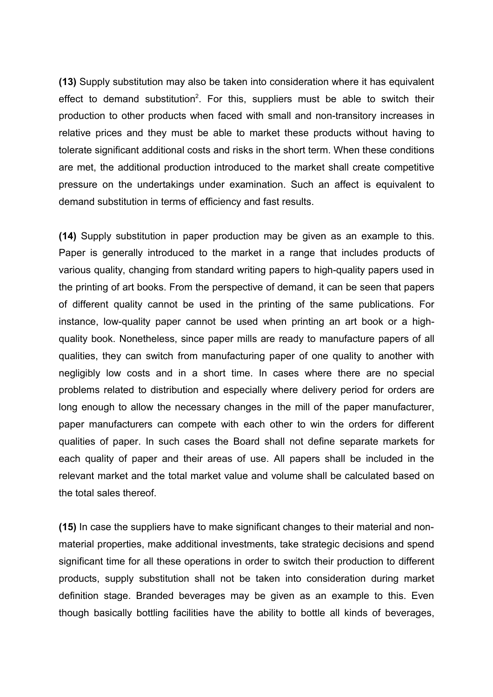**(13)** Supply substitution may also be taken into consideration where it has equivalent effect to demand substitution<sup>[2](#page-15-1)</sup>. For this, suppliers must be able to switch their production to other products when faced with small and non-transitory increases in relative prices and they must be able to market these products without having to tolerate significant additional costs and risks in the short term. When these conditions are met, the additional production introduced to the market shall create competitive pressure on the undertakings under examination. Such an affect is equivalent to demand substitution in terms of efficiency and fast results.

**(14)** Supply substitution in paper production may be given as an example to this. Paper is generally introduced to the market in a range that includes products of various quality, changing from standard writing papers to high-quality papers used in the printing of art books. From the perspective of demand, it can be seen that papers of different quality cannot be used in the printing of the same publications. For instance, low-quality paper cannot be used when printing an art book or a highquality book. Nonetheless, since paper mills are ready to manufacture papers of all qualities, they can switch from manufacturing paper of one quality to another with negligibly low costs and in a short time. In cases where there are no special problems related to distribution and especially where delivery period for orders are long enough to allow the necessary changes in the mill of the paper manufacturer, paper manufacturers can compete with each other to win the orders for different qualities of paper. In such cases the Board shall not define separate markets for each quality of paper and their areas of use. All papers shall be included in the relevant market and the total market value and volume shall be calculated based on the total sales thereof.

**(15)** In case the suppliers have to make significant changes to their material and nonmaterial properties, make additional investments, take strategic decisions and spend significant time for all these operations in order to switch their production to different products, supply substitution shall not be taken into consideration during market definition stage. Branded beverages may be given as an example to this. Even though basically bottling facilities have the ability to bottle all kinds of beverages,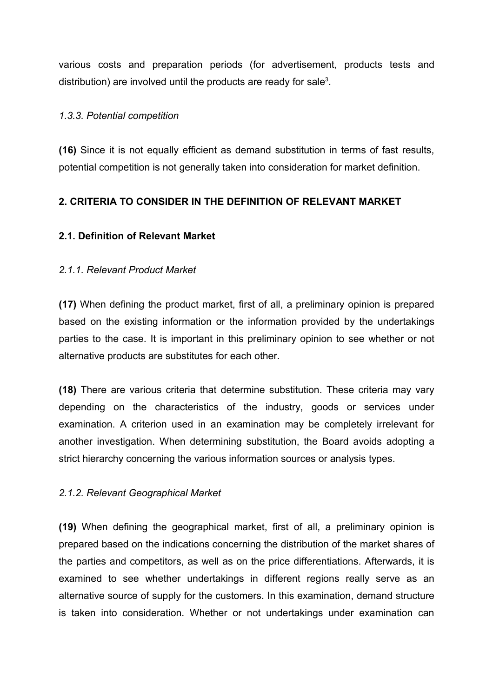various costs and preparation periods (for advertisement, products tests and distribution) are involved until the products are ready for sale<sup>[3](#page-15-2)</sup>.

#### *1.3.3. Potential competition*

**(16)** Since it is not equally efficient as demand substitution in terms of fast results, potential competition is not generally taken into consideration for market definition.

## **2. CRITERIA TO CONSIDER IN THE DEFINITION OF RELEVANT MARKET**

### **2.1. Definition of Relevant Market**

#### *2.1.1. Relevant Product Market*

**(17)** When defining the product market, first of all, a preliminary opinion is prepared based on the existing information or the information provided by the undertakings parties to the case. It is important in this preliminary opinion to see whether or not alternative products are substitutes for each other.

**(18)** There are various criteria that determine substitution. These criteria may vary depending on the characteristics of the industry, goods or services under examination. A criterion used in an examination may be completely irrelevant for another investigation. When determining substitution, the Board avoids adopting a strict hierarchy concerning the various information sources or analysis types.

#### *2.1.2. Relevant Geographical Market*

**(19)** When defining the geographical market, first of all, a preliminary opinion is prepared based on the indications concerning the distribution of the market shares of the parties and competitors, as well as on the price differentiations. Afterwards, it is examined to see whether undertakings in different regions really serve as an alternative source of supply for the customers. In this examination, demand structure is taken into consideration. Whether or not undertakings under examination can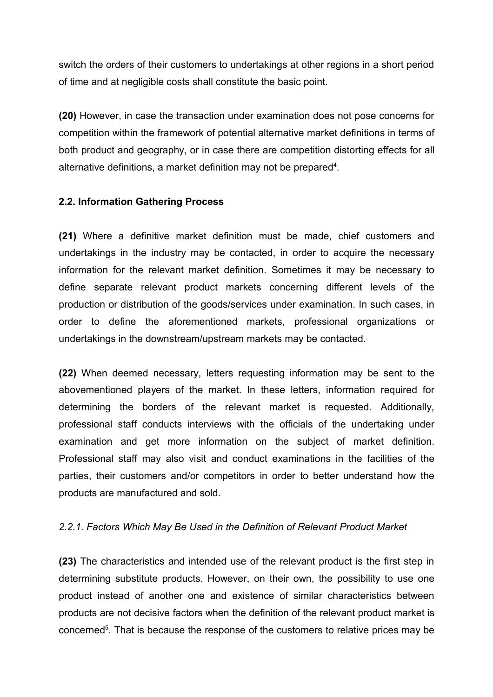switch the orders of their customers to undertakings at other regions in a short period of time and at negligible costs shall constitute the basic point.

**(20)** However, in case the transaction under examination does not pose concerns for competition within the framework of potential alternative market definitions in terms of both product and geography, or in case there are competition distorting effects for all alternative definitions, a market definition may not be prepared<sup>[4](#page-15-3)</sup>.

### <span id="page-7-0"></span>**2.2. Information Gathering Process**

**(21)** Where a definitive market definition must be made, chief customers and undertakings in the industry may be contacted, in order to acquire the necessary information for the relevant market definition. Sometimes it may be necessary to define separate relevant product markets concerning different levels of the production or distribution of the goods/services under examination. In such cases, in order to define the aforementioned markets, professional organizations or undertakings in the downstream/upstream markets may be contacted.

**(22)** When deemed necessary, letters requesting information may be sent to the abovementioned players of the market. In these letters, information required for determining the borders of the relevant market is requested. Additionally, professional staff conducts interviews with the officials of the undertaking under examination and get more information on the subject of market definition. Professional staff may also visit and conduct examinations in the facilities of the parties, their customers and/or competitors in order to better understand how the products are manufactured and sold.

### *2.2.1. Factors Which May Be Used in the Definition of Relevant Product Market*

**(23)** The characteristics and intended use of the relevant product is the first step in determining substitute products. However, on their own, the possibility to use one product instead of another one and existence of similar characteristics between products are not decisive factors when the definition of the relevant product market is concerned<sup>[5](#page-15-4)</sup>. That is because the response of the customers to relative prices may be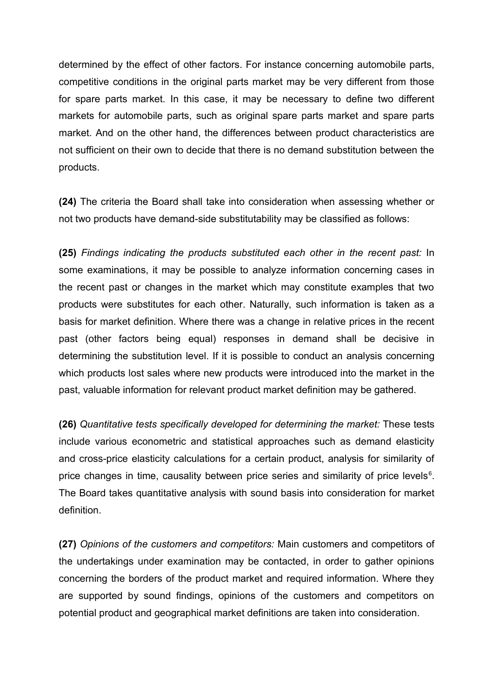determined by the effect of other factors. For instance concerning automobile parts, competitive conditions in the original parts market may be very different from those for spare parts market. In this case, it may be necessary to define two different markets for automobile parts, such as original spare parts market and spare parts market. And on the other hand, the differences between product characteristics are not sufficient on their own to decide that there is no demand substitution between the products.

**(24)** The criteria the Board shall take into consideration when assessing whether or not two products have demand-side substitutability may be classified as follows:

**(25)** *Findings indicating the products substituted each other in the recent past:* In some examinations, it may be possible to analyze information concerning cases in the recent past or changes in the market which may constitute examples that two products were substitutes for each other. Naturally, such information is taken as a basis for market definition. Where there was a change in relative prices in the recent past (other factors being equal) responses in demand shall be decisive in determining the substitution level. If it is possible to conduct an analysis concerning which products lost sales where new products were introduced into the market in the past, valuable information for relevant product market definition may be gathered.

**(26)** *Quantitative tests specifically developed for determining the market:* These tests include various econometric and statistical approaches such as demand elasticity and cross-price elasticity calculations for a certain product, analysis for similarity of price changes in time, causality between price series and similarity of price levels $6$ . The Board takes quantitative analysis with sound basis into consideration for market definition.

**(27)** *Opinions of the customers and competitors:* Main customers and competitors of the undertakings under examination may be contacted, in order to gather opinions concerning the borders of the product market and required information. Where they are supported by sound findings, opinions of the customers and competitors on potential product and geographical market definitions are taken into consideration.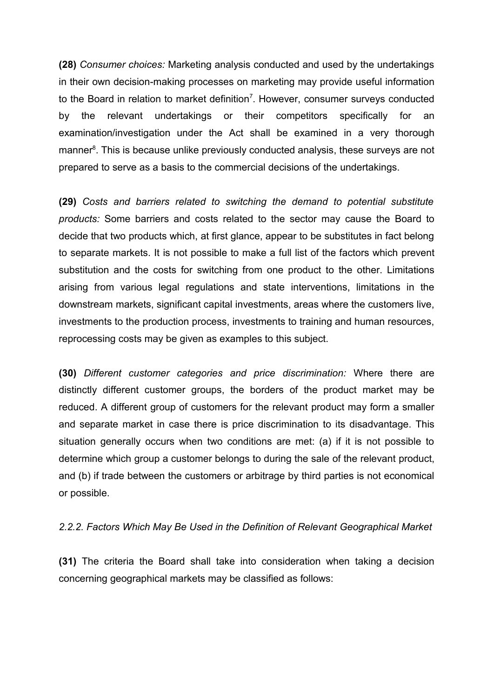**(28)** *Consumer choices:* Marketing analysis conducted and used by the undertakings in their own decision-making processes on marketing may provide useful information to the Board in relation to market definition<sup>[7](#page-15-6)</sup>. However, consumer surveys conducted by the relevant undertakings or their competitors specifically for an examination/investigation under the Act shall be examined in a very thorough manner<sup>[8](#page-15-7)</sup>. This is because unlike previously conducted analysis, these surveys are not prepared to serve as a basis to the commercial decisions of the undertakings.

**(29)** *Costs and barriers related to switching the demand to potential substitute products:* Some barriers and costs related to the sector may cause the Board to decide that two products which, at first glance, appear to be substitutes in fact belong to separate markets. It is not possible to make a full list of the factors which prevent substitution and the costs for switching from one product to the other. Limitations arising from various legal regulations and state interventions, limitations in the downstream markets, significant capital investments, areas where the customers live, investments to the production process, investments to training and human resources, reprocessing costs may be given as examples to this subject.

**(30)** *Different customer categories and price discrimination:* Where there are distinctly different customer groups, the borders of the product market may be reduced. A different group of customers for the relevant product may form a smaller and separate market in case there is price discrimination to its disadvantage. This situation generally occurs when two conditions are met: (a) if it is not possible to determine which group a customer belongs to during the sale of the relevant product, and (b) if trade between the customers or arbitrage by third parties is not economical or possible.

#### *2.2.2. Factors Which May Be Used in the Definition of Relevant Geographical Market*

**(31)** The criteria the Board shall take into consideration when taking a decision concerning geographical markets may be classified as follows: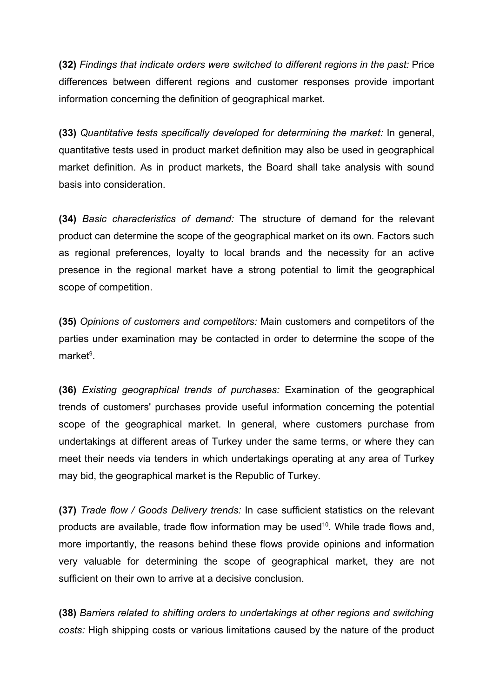**(32)** *Findings that indicate orders were switched to different regions in the past:* Price differences between different regions and customer responses provide important information concerning the definition of geographical market.

**(33)** *Quantitative tests specifically developed for determining the market:* In general, quantitative tests used in product market definition may also be used in geographical market definition. As in product markets, the Board shall take analysis with sound basis into consideration.

**(34)** *Basic characteristics of demand:* The structure of demand for the relevant product can determine the scope of the geographical market on its own. Factors such as regional preferences, loyalty to local brands and the necessity for an active presence in the regional market have a strong potential to limit the geographical scope of competition.

**(35)** *Opinions of customers and competitors:* Main customers and competitors of the parties under examination may be contacted in order to determine the scope of the market<sup>[9](#page-15-8)</sup>.

**(36)** *Existing geographical trends of purchases:* Examination of the geographical trends of customers' purchases provide useful information concerning the potential scope of the geographical market. In general, where customers purchase from undertakings at different areas of Turkey under the same terms, or where they can meet their needs via tenders in which undertakings operating at any area of Turkey may bid, the geographical market is the Republic of Turkey.

**(37)** *Trade flow / Goods Delivery trends:* In case sufficient statistics on the relevant products are available, trade flow information may be used<sup>[10](#page-15-9)</sup>. While trade flows and, more importantly, the reasons behind these flows provide opinions and information very valuable for determining the scope of geographical market, they are not sufficient on their own to arrive at a decisive conclusion.

**(38)** *Barriers related to shifting orders to undertakings at other regions and switching costs:* High shipping costs or various limitations caused by the nature of the product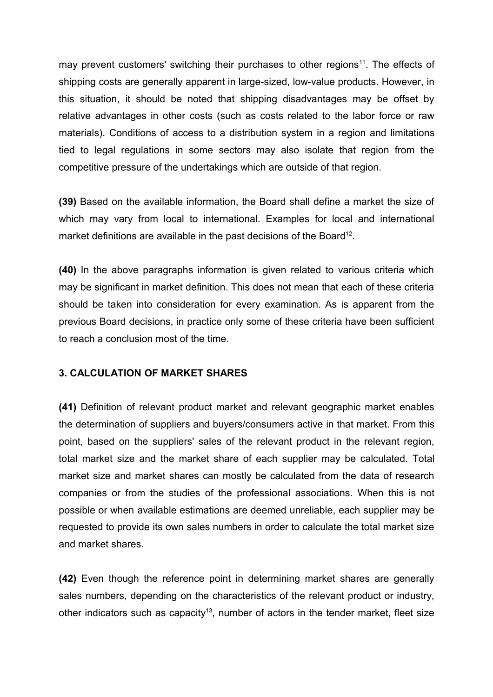may prevent customers' switching their purchases to other regions<sup>[11](#page-15-10)</sup>. The effects of shipping costs are generally apparent in large-sized, low-value products. However, in this situation, it should be noted that shipping disadvantages may be offset by relative advantages in other costs (such as costs related to the labor force or raw materials). Conditions of access to a distribution system in a region and limitations tied to legal regulations in some sectors may also isolate that region from the competitive pressure of the undertakings which are outside of that region.

**(39)** Based on the available information, the Board shall define a market the size of which may vary from local to international. Examples for local and international market definitions are available in the past decisions of the Board<sup>[12](#page-15-11)</sup>.

**(40)** In the above paragraphs information is given related to various criteria which may be significant in market definition. This does not mean that each of these criteria should be taken into consideration for every examination. As is apparent from the previous Board decisions, in practice only some of these criteria have been sufficient to reach a conclusion most of the time.

### **3. CALCULATION OF MARKET SHARES**

**(41)** Definition of relevant product market and relevant geographic market enables the determination of suppliers and buyers/consumers active in that market. From this point, based on the suppliers' sales of the relevant product in the relevant region, total market size and the market share of each supplier may be calculated. Total market size and market shares can mostly be calculated from the data of research companies or from the studies of the professional associations. When this is not possible or when available estimations are deemed unreliable, each supplier may be requested to provide its own sales numbers in order to calculate the total market size and market shares.

**(42)** Even though the reference point in determining market shares are generally sales numbers, depending on the characteristics of the relevant product or industry, other indicators such as capacity<sup>[13](#page-15-12)</sup>, number of actors in the tender market, fleet size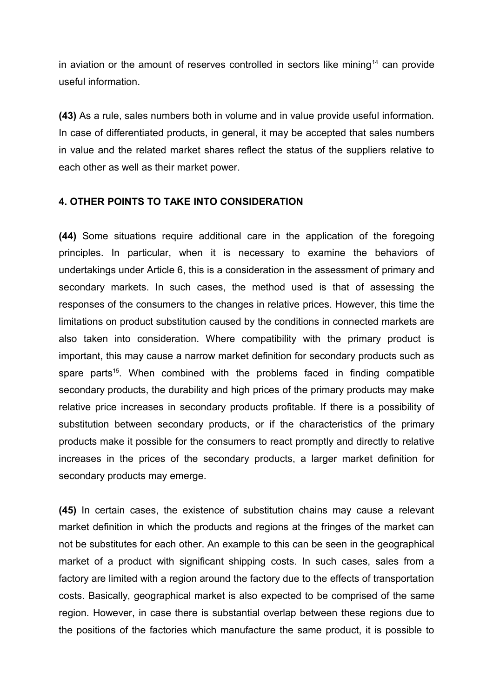in aviation or the amount of reserves controlled in sectors like mining<sup>[14](#page-15-13)</sup> can provide useful information.

**(43)** As a rule, sales numbers both in volume and in value provide useful information. In case of differentiated products, in general, it may be accepted that sales numbers in value and the related market shares reflect the status of the suppliers relative to each other as well as their market power.

### **4. OTHER POINTS TO TAKE INTO CONSIDERATION**

**(44)** Some situations require additional care in the application of the foregoing principles. In particular, when it is necessary to examine the behaviors of undertakings under Article 6, this is a consideration in the assessment of primary and secondary markets. In such cases, the method used is that of assessing the responses of the consumers to the changes in relative prices. However, this time the limitations on product substitution caused by the conditions in connected markets are also taken into consideration. Where compatibility with the primary product is important, this may cause a narrow market definition for secondary products such as spare parts<sup>[15](#page-15-14)</sup>. When combined with the problems faced in finding compatible secondary products, the durability and high prices of the primary products may make relative price increases in secondary products profitable. If there is a possibility of substitution between secondary products, or if the characteristics of the primary products make it possible for the consumers to react promptly and directly to relative increases in the prices of the secondary products, a larger market definition for secondary products may emerge.

**(45)** In certain cases, the existence of substitution chains may cause a relevant market definition in which the products and regions at the fringes of the market can not be substitutes for each other. An example to this can be seen in the geographical market of a product with significant shipping costs. In such cases, sales from a factory are limited with a region around the factory due to the effects of transportation costs. Basically, geographical market is also expected to be comprised of the same region. However, in case there is substantial overlap between these regions due to the positions of the factories which manufacture the same product, it is possible to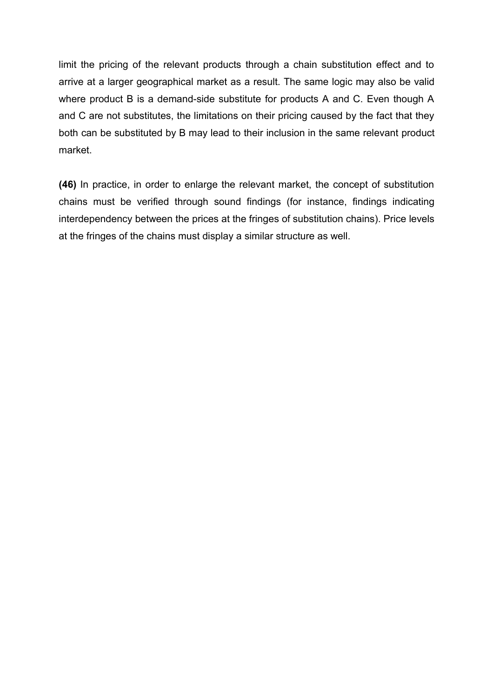limit the pricing of the relevant products through a chain substitution effect and to arrive at a larger geographical market as a result. The same logic may also be valid where product B is a demand-side substitute for products A and C. Even though A and C are not substitutes, the limitations on their pricing caused by the fact that they both can be substituted by B may lead to their inclusion in the same relevant product market.

**(46)** In practice, in order to enlarge the relevant market, the concept of substitution chains must be verified through sound findings (for instance, findings indicating interdependency between the prices at the fringes of substitution chains). Price levels at the fringes of the chains must display a similar structure as well.